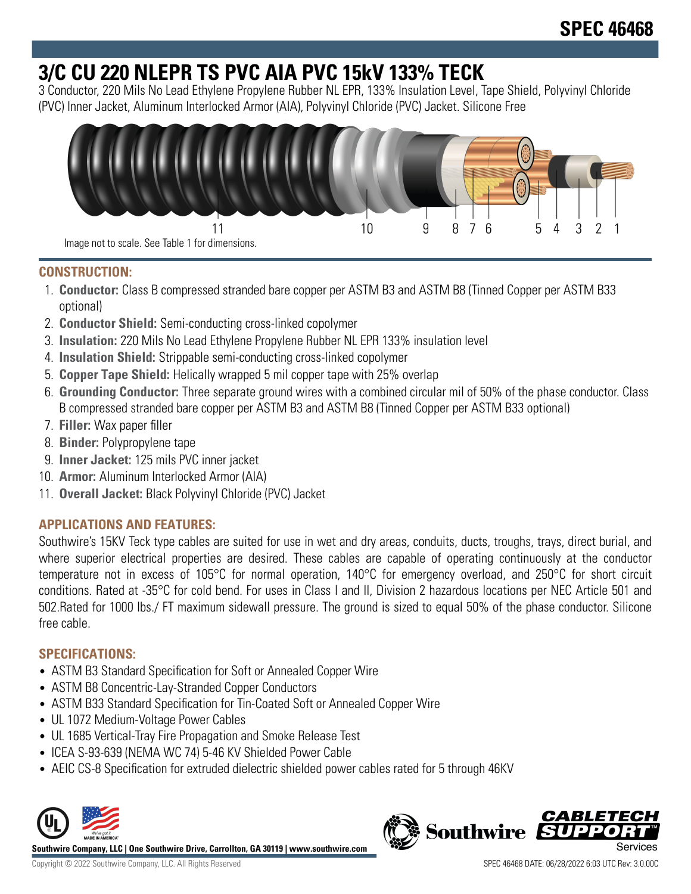# **3/C CU 220 NLEPR TS PVC AIA PVC 15kV 133% TECK**

3 Conductor, 220 Mils No Lead Ethylene Propylene Rubber NL EPR, 133% Insulation Level, Tape Shield, Polyvinyl Chloride (PVC) Inner Jacket, Aluminum Interlocked Armor (AIA), Polyvinyl Chloride (PVC) Jacket. Silicone Free



### **CONSTRUCTION:**

- 1. **Conductor:** Class B compressed stranded bare copper per ASTM B3 and ASTM B8 (Tinned Copper per ASTM B33 optional)
- 2. **Conductor Shield:** Semi-conducting cross-linked copolymer
- 3. **Insulation:** 220 Mils No Lead Ethylene Propylene Rubber NL EPR 133% insulation level
- 4. **Insulation Shield:** Strippable semi-conducting cross-linked copolymer
- 5. **Copper Tape Shield:** Helically wrapped 5 mil copper tape with 25% overlap
- 6. **Grounding Conductor:** Three separate ground wires with a combined circular mil of 50% of the phase conductor. Class B compressed stranded bare copper per ASTM B3 and ASTM B8 (Tinned Copper per ASTM B33 optional)
- 7. **Filler:** Wax paper filler
- 8. **Binder:** Polypropylene tape
- 9. **Inner Jacket:** 125 mils PVC inner jacket
- 10. **Armor:** Aluminum Interlocked Armor (AIA)
- 11. **Overall Jacket:** Black Polyvinyl Chloride (PVC) Jacket

## **APPLICATIONS AND FEATURES:**

Southwire's 15KV Teck type cables are suited for use in wet and dry areas, conduits, ducts, troughs, trays, direct burial, and where superior electrical properties are desired. These cables are capable of operating continuously at the conductor temperature not in excess of 105°C for normal operation, 140°C for emergency overload, and 250°C for short circuit conditions. Rated at -35°C for cold bend. For uses in Class I and II, Division 2 hazardous locations per NEC Article 501 and 502.Rated for 1000 lbs./ FT maximum sidewall pressure. The ground is sized to equal 50% of the phase conductor. Silicone free cable.

### **SPECIFICATIONS:**

- ASTM B3 Standard Specification for Soft or Annealed Copper Wire
- ASTM B8 Concentric-Lay-Stranded Copper Conductors
- ASTM B33 Standard Specification for Tin-Coated Soft or Annealed Copper Wire
- UL 1072 Medium-Voltage Power Cables
- UL 1685 Vertical-Tray Fire Propagation and Smoke Release Test
- ICEA S-93-639 (NEMA WC 74) 5-46 KV Shielded Power Cable
- AEIC CS-8 Specification for extruded dielectric shielded power cables rated for 5 through 46KV



**Southwire Company, LLC | One Southwire Drive, Carrollton, GA 30119 | www.southwire.com**